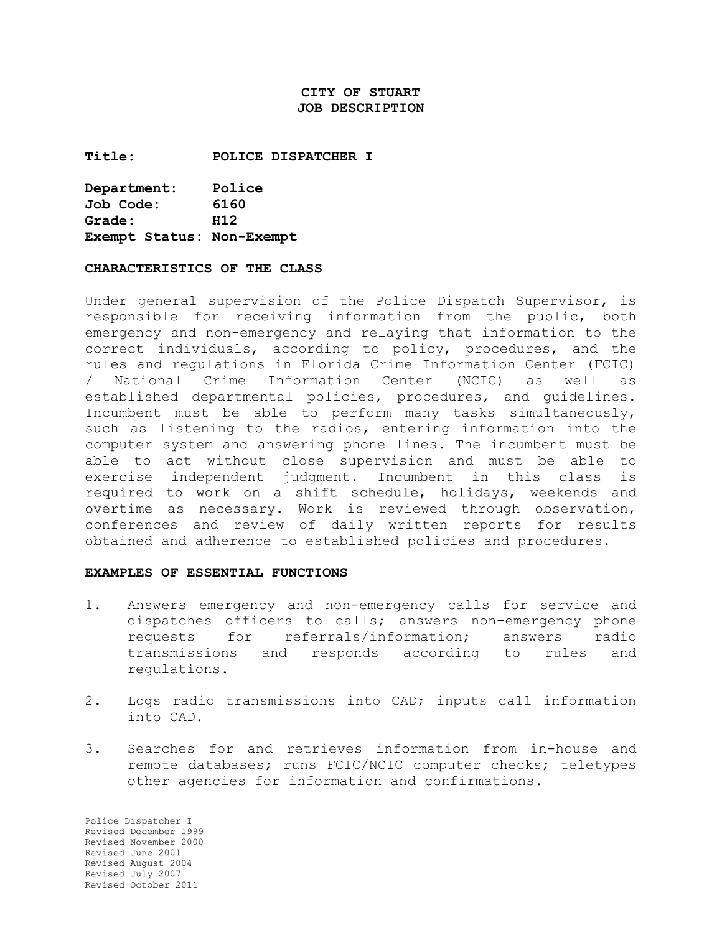# **CITY OF STUART JOB DESCRIPTION**

**Title: POLICE DISPATCHER I**

| Department:               | Police |
|---------------------------|--------|
| Job Code:                 | 6160   |
| Grade:                    | H12    |
| Exempt Status: Non-Exempt |        |

#### **CHARACTERISTICS OF THE CLASS**

Under general supervision of the Police Dispatch Supervisor, is responsible for receiving information from the public, both emergency and non-emergency and relaying that information to the correct individuals, according to policy, procedures, and the rules and regulations in Florida Crime Information Center (FCIC) / National Crime Information Center (NCIC) as well as established departmental policies, procedures, and guidelines. Incumbent must be able to perform many tasks simultaneously, such as listening to the radios, entering information into the computer system and answering phone lines. The incumbent must be able to act without close supervision and must be able to exercise independent judgment. Incumbent in this class is required to work on a shift schedule, holidays, weekends and overtime as necessary. Work is reviewed through observation, conferences and review of daily written reports for results obtained and adherence to established policies and procedures.

#### **EXAMPLES OF ESSENTIAL FUNCTIONS**

- 1. Answers emergency and non-emergency calls for service and dispatches officers to calls; answers non-emergency phone requests for referrals/information; answers radio transmissions and responds according to rules and regulations.
- 2. Logs radio transmissions into CAD; inputs call information into CAD.
- 3. Searches for and retrieves information from in-house and remote databases; runs FCIC/NCIC computer checks; teletypes other agencies for information and confirmations.

Police Dispatcher I Revised December 1999 Revised November 2000 Revised June 2001 Revised August 2004 Revised July 2007 Revised October 2011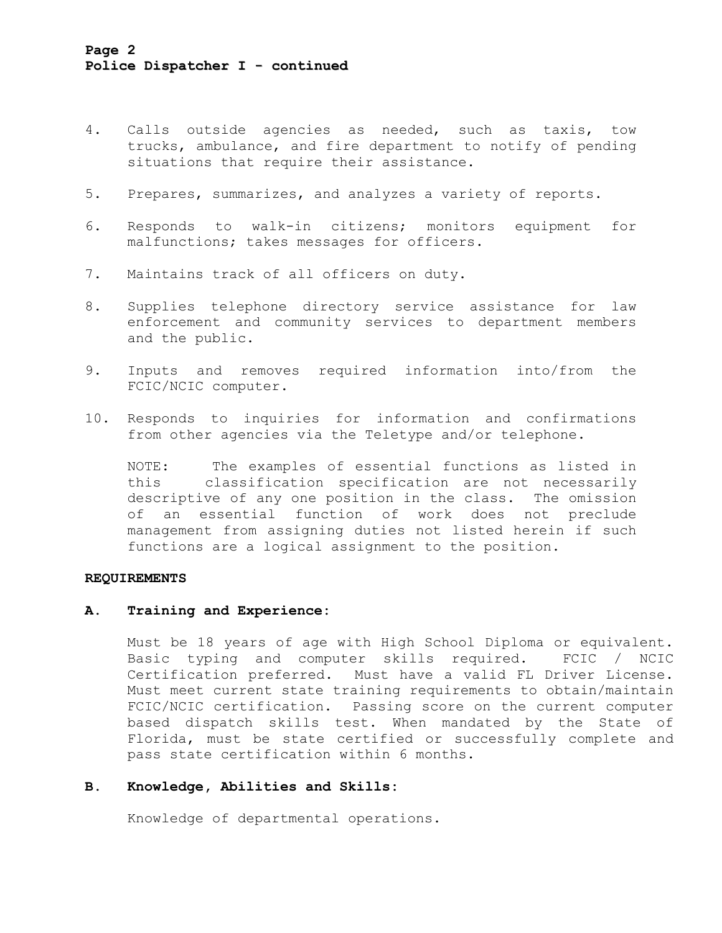- 4. Calls outside agencies as needed, such as taxis, tow trucks, ambulance, and fire department to notify of pending situations that require their assistance.
- 5. Prepares, summarizes, and analyzes a variety of reports.
- 6. Responds to walk-in citizens; monitors equipment for malfunctions; takes messages for officers.
- 7. Maintains track of all officers on duty.
- 8. Supplies telephone directory service assistance for law enforcement and community services to department members and the public.
- 9. Inputs and removes required information into/from the FCIC/NCIC computer.
- 10. Responds to inquiries for information and confirmations from other agencies via the Teletype and/or telephone.

NOTE: The examples of essential functions as listed in this classification specification are not necessarily descriptive of any one position in the class. The omission of an essential function of work does not preclude management from assigning duties not listed herein if such functions are a logical assignment to the position.

### **REQUIREMENTS**

#### **A. Training and Experience:**

Must be 18 years of age with High School Diploma or equivalent. Basic typing and computer skills required. FCIC / NCIC Certification preferred. Must have a valid FL Driver License. Must meet current state training requirements to obtain/maintain FCIC/NCIC certification. Passing score on the current computer based dispatch skills test. When mandated by the State of Florida, must be state certified or successfully complete and pass state certification within 6 months.

# **B. Knowledge, Abilities and Skills:**

Knowledge of departmental operations.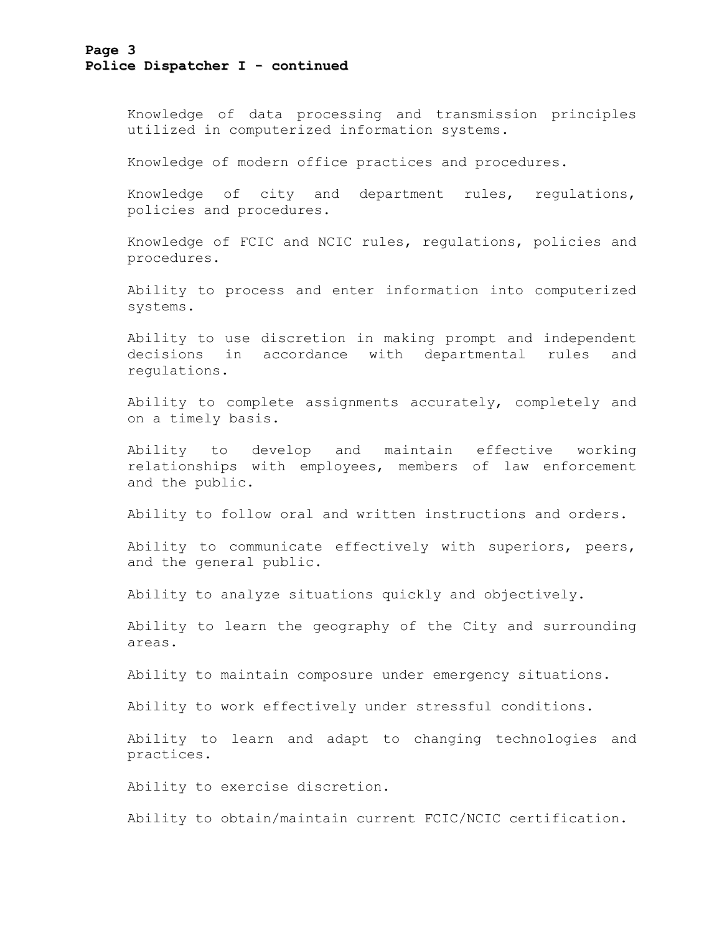### **Page 3 Police Dispatcher I - continued**

Knowledge of data processing and transmission principles utilized in computerized information systems.

Knowledge of modern office practices and procedures.

Knowledge of city and department rules, regulations, policies and procedures.

Knowledge of FCIC and NCIC rules, regulations, policies and procedures.

Ability to process and enter information into computerized systems.

Ability to use discretion in making prompt and independent decisions in accordance with departmental rules and regulations.

Ability to complete assignments accurately, completely and on a timely basis.

Ability to develop and maintain effective working relationships with employees, members of law enforcement and the public.

Ability to follow oral and written instructions and orders.

Ability to communicate effectively with superiors, peers, and the general public.

Ability to analyze situations quickly and objectively.

Ability to learn the geography of the City and surrounding areas.

Ability to maintain composure under emergency situations.

Ability to work effectively under stressful conditions.

Ability to learn and adapt to changing technologies and practices.

Ability to exercise discretion.

Ability to obtain/maintain current FCIC/NCIC certification.